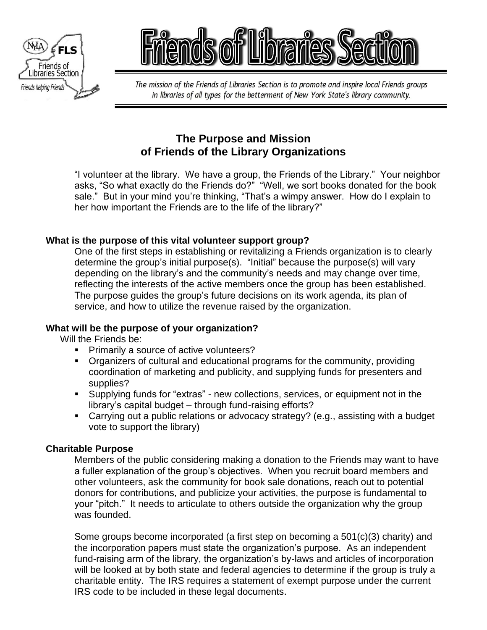



The mission of the Friends of Libraries Section is to promote and inspire local Friends groups in libraries of all types for the betterment of New York State's library community.

# **The Purpose and Mission of Friends of the Library Organizations**

"I volunteer at the library. We have a group, the Friends of the Library." Your neighbor asks, "So what exactly do the Friends do?" "Well, we sort books donated for the book sale." But in your mind you're thinking, "That's a wimpy answer. How do I explain to her how important the Friends are to the life of the library?"

# **What is the purpose of this vital volunteer support group?**

One of the first steps in establishing or revitalizing a Friends organization is to clearly determine the group's initial purpose(s). "Initial" because the purpose(s) will vary depending on the library's and the community's needs and may change over time, reflecting the interests of the active members once the group has been established. The purpose guides the group's future decisions on its work agenda, its plan of service, and how to utilize the revenue raised by the organization.

# **What will be the purpose of your organization?**

Will the Friends be:

- **•** Primarily a source of active volunteers?
- Organizers of cultural and educational programs for the community, providing coordination of marketing and publicity, and supplying funds for presenters and supplies?
- Supplying funds for "extras" new collections, services, or equipment not in the library's capital budget – through fund-raising efforts?
- Carrying out a public relations or advocacy strategy? (e.g., assisting with a budget vote to support the library)

# **Charitable Purpose**

Members of the public considering making a donation to the Friends may want to have a fuller explanation of the group's objectives. When you recruit board members and other volunteers, ask the community for book sale donations, reach out to potential donors for contributions, and publicize your activities, the purpose is fundamental to your "pitch." It needs to articulate to others outside the organization why the group was founded.

Some groups become incorporated (a first step on becoming a 501(c)(3) charity) and the incorporation papers must state the organization's purpose. As an independent fund-raising arm of the library, the organization's by-laws and articles of incorporation will be looked at by both state and federal agencies to determine if the group is truly a charitable entity. The IRS requires a statement of exempt purpose under the current IRS code to be included in these legal documents.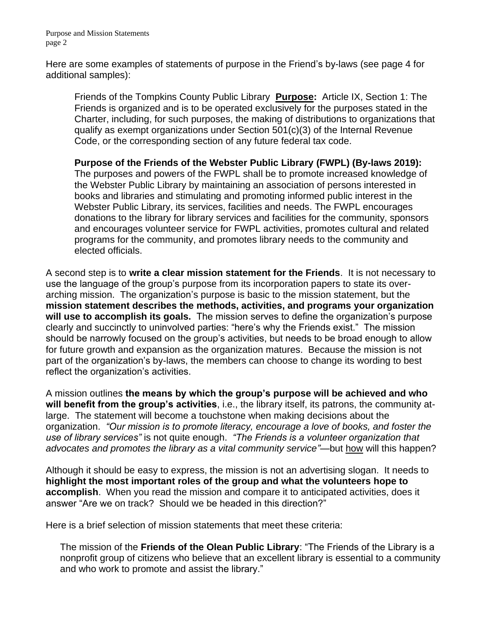Purpose and Mission Statements page 2

Here are some examples of statements of purpose in the Friend's by-laws (see page 4 for additional samples):

Friends of the Tompkins County Public Library **Purpose:** Article IX, Section 1: The Friends is organized and is to be operated exclusively for the purposes stated in the Charter, including, for such purposes, the making of distributions to organizations that qualify as exempt organizations under Section 501(c)(3) of the Internal Revenue Code, or the corresponding section of any future federal tax code.

**Purpose of the Friends of the Webster Public Library (FWPL) (By-laws 2019):** The purposes and powers of the FWPL shall be to promote increased knowledge of the Webster Public Library by maintaining an association of persons interested in books and libraries and stimulating and promoting informed public interest in the Webster Public Library, its services, facilities and needs. The FWPL encourages donations to the library for library services and facilities for the community, sponsors and encourages volunteer service for FWPL activities, promotes cultural and related programs for the community, and promotes library needs to the community and elected officials.

A second step is to **write a clear mission statement for the Friends**. It is not necessary to use the language of the group's purpose from its incorporation papers to state its overarching mission. The organization's purpose is basic to the mission statement, but the **mission statement describes the methods, activities, and programs your organization will use to accomplish its goals.** The mission serves to define the organization's purpose clearly and succinctly to uninvolved parties: "here's why the Friends exist." The mission should be narrowly focused on the group's activities, but needs to be broad enough to allow for future growth and expansion as the organization matures. Because the mission is not part of the organization's by-laws, the members can choose to change its wording to best reflect the organization's activities.

A mission outlines **the means by which the group's purpose will be achieved and who will benefit from the group's activities**, i.e., the library itself, its patrons, the community atlarge. The statement will become a touchstone when making decisions about the organization. *"Our mission is to promote literacy, encourage a love of books, and foster the use of library services"* is not quite enough. *"The Friends is a volunteer organization that advocates* and promotes the library as a vital community service"—but how will this happen?

Although it should be easy to express, the mission is not an advertising slogan. It needs to **highlight the most important roles of the group and what the volunteers hope to accomplish**. When you read the mission and compare it to anticipated activities, does it answer "Are we on track? Should we be headed in this direction?"

Here is a brief selection of mission statements that meet these criteria:

The mission of the **Friends of the Olean Public Library**: "The Friends of the Library is a nonprofit group of citizens who believe that an excellent library is essential to a community and who work to promote and assist the library."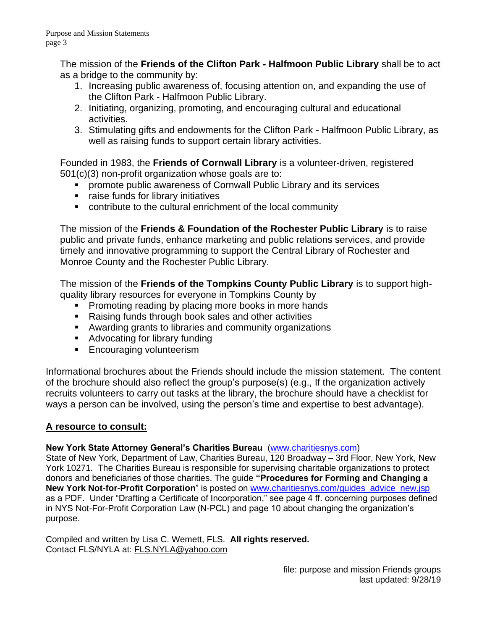The mission of the **Friends of the Clifton Park - Halfmoon Public Library** shall be to act as a bridge to the community by:

- 1. Increasing public awareness of, focusing attention on, and expanding the use of the Clifton Park - Halfmoon Public Library.
- 2. Initiating, organizing, promoting, and encouraging cultural and educational activities.
- 3. Stimulating gifts and endowments for the Clifton Park Halfmoon Public Library, as well as raising funds to support certain library activities.

Founded in 1983, the **Friends of Cornwall Library** is a volunteer-driven, registered 501(c)(3) non-profit organization whose goals are to:

- promote public awareness of Cornwall Public Library and its services
- raise funds for library initiatives
- contribute to the cultural enrichment of the local community

The mission of the **Friends & Foundation of the Rochester Public Library** is to raise public and private funds, enhance marketing and public relations services, and provide timely and innovative programming to support the Central Library of Rochester and Monroe County and the Rochester Public Library.

The mission of the **Friends of the Tompkins County Public Library** is to support highquality library resources for everyone in Tompkins County by

- Promoting reading by placing more books in more hands
- Raising funds through book sales and other activities
- Awarding grants to libraries and community organizations
- Advocating for library funding
- **Encouraging volunteerism**

Informational brochures about the Friends should include the mission statement. The content of the brochure should also reflect the group's purpose(s) (e.g., If the organization actively recruits volunteers to carry out tasks at the library, the brochure should have a checklist for ways a person can be involved, using the person's time and expertise to best advantage).

# **A resource to consult:**

# **New York State Attorney General's Charities Bureau** [\(www.charitiesnys.com\)](http://www.charitiesnys.com/)

State of New York, Department of Law, Charities Bureau, 120 Broadway – 3rd Floor, New York, New York 10271. The Charities Bureau is responsible for supervising charitable organizations to protect donors and beneficiaries of those charities. The guide **"Procedures for Forming and Changing a New York Not-for-Profit Corporation**" is posted on [www.charitiesnys.com/guides\\_advice\\_new.jsp](http://www.charitiesnys.com/guides_advice_new.jsp) as a PDF. Under "Drafting a Certificate of Incorporation," see page 4 ff. concerning purposes defined in NYS Not-For-Profit Corporation Law (N-PCL) and page 10 about changing the organization's purpose.

Compiled and written by Lisa C. Wemett, FLS. **All rights reserved.** Contact FLS/NYLA at: [FLS.NYLA@yahoo.com](mailto:FLS.NYLA@yahoo.com)